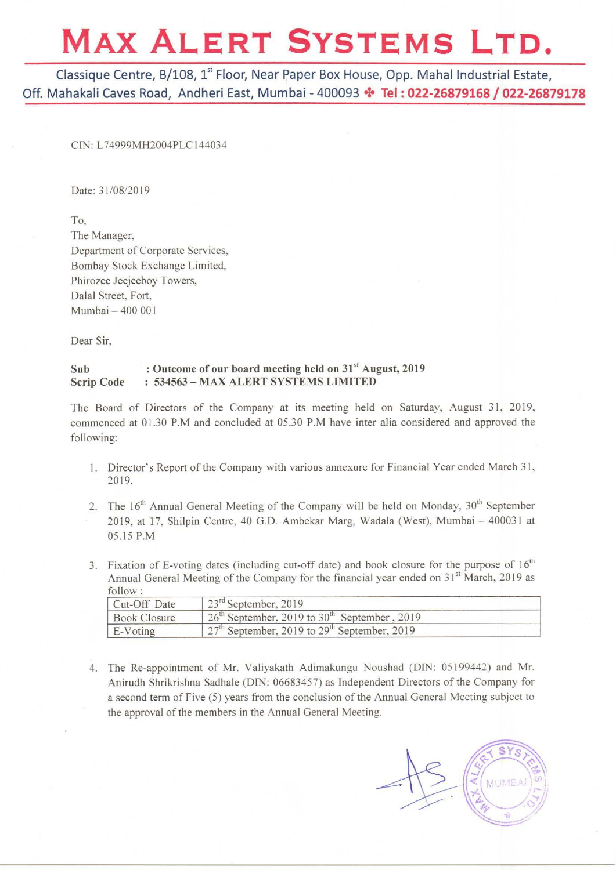## MAX ALERT SYSTEMS LTD.

Classique Centre, 3/108, 1" Floor, Near Paper Box House, Opp. Mahal Industrial Estate, Off. Mahakali Caves Road, Andheri East, Mumbai - 400093 \* Tel: 022-26879168 / 022-26879178

CIN: L74999MH2004PLC144034

Date: 31/08/2019

To. The Manager. Department of Corporate Services. Bombay Stock Exchange Limited. Phirozee Jeejeeboy Towers. Dalal Street. Fort. Mumbai — 400 001

Dear Sir.

## Sub : Outcome of our board meeting held on 31<sup>st</sup> August, 2019<br>Scrip Code : 534563 – MAX ALERT SYSTEMS LIMITED : 534563 - MAX ALERT SYSTEMS LIMITED

The Board of Directors of the Company at its meeting held on Saturday. August 31. 2019, commenced at 01.30 P.M and concluded at 05.30 P.M have inter alia considered and approved the following:

- 1. Director's Report of the Company with various annexure for Financial Year ended March 31. 2019.
- 2. The  $16<sup>th</sup>$  Annual General Meeting of the Company will be held on Monday,  $30<sup>th</sup>$  September The 16 Annual General Meeting of the Company will be held on Monday, 30 September<br>2019, at 17, Shilpin Centre, 40 G.D. Ambekar Marg, Wadala (West), Mumbai – 400031 at 05.15 P.M
- 3. Fixation of E-voting dates (including cut-off date) and book closure for the purpose of  $16<sup>th</sup>$ Annual General Meeting of the Company for the financial year ended on  $31<sup>st</sup>$  March, 2019 as follow :

| Cut-Off Date        | $123^{\text{rd}}$ September, 2019                          |
|---------------------|------------------------------------------------------------|
| <b>Book Closure</b> | $26th$ September, 2019 to 30 <sup>th</sup> September, 2019 |
| E-Voting            | September, 2019 to 29 <sup>th</sup> September, 2019        |

4. The Re-appointment of Mr. Valiyakath Adimakungu Noushad (DIN: 05199442) and Mr. Anirudh Shrikrishna Sadhale (DIN: 06683457) as Independent Directors ofthe Company for <sup>a</sup> second term of Five (5) years from the conclusion of the Annual General Meeting subject to the approval of the members in the Annual General Meeting.